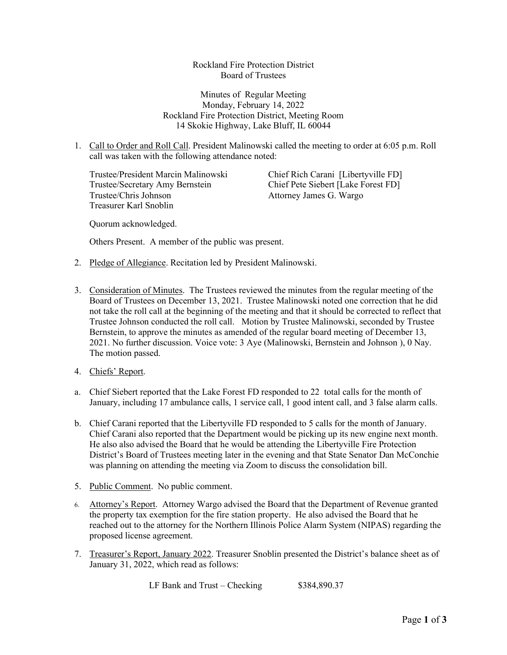Rockland Fire Protection District Board of Trustees

Minutes of Regular Meeting Monday, February 14, 2022 Rockland Fire Protection District, Meeting Room 14 Skokie Highway, Lake Bluff, IL 60044

1. Call to Order and Roll Call. President Malinowski called the meeting to order at 6:05 p.m. Roll call was taken with the following attendance noted:

Trustee/President Marcin Malinowski Chief Rich Carani [Libertyville FD] Trustee/Secretary Amy Bernstein Chief Pete Siebert [Lake Forest FD] Trustee/Chris Johnson Attorney James G. Wargo Treasurer Karl Snoblin

Quorum acknowledged.

Others Present. A member of the public was present.

- 2. Pledge of Allegiance. Recitation led by President Malinowski.
- 3. Consideration of Minutes. The Trustees reviewed the minutes from the regular meeting of the Board of Trustees on December 13, 2021. Trustee Malinowski noted one correction that he did not take the roll call at the beginning of the meeting and that it should be corrected to reflect that Trustee Johnson conducted the roll call. Motion by Trustee Malinowski, seconded by Trustee Bernstein, to approve the minutes as amended of the regular board meeting of December 13, 2021. No further discussion. Voice vote: 3 Aye (Malinowski, Bernstein and Johnson ), 0 Nay. The motion passed.
- 4. Chiefs' Report.
- a. Chief Siebert reported that the Lake Forest FD responded to 22 total calls for the month of January, including 17 ambulance calls, 1 service call, 1 good intent call, and 3 false alarm calls.
- b. Chief Carani reported that the Libertyville FD responded to 5 calls for the month of January. Chief Carani also reported that the Department would be picking up its new engine next month. He also also advised the Board that he would be attending the Libertyville Fire Protection District's Board of Trustees meeting later in the evening and that State Senator Dan McConchie was planning on attending the meeting via Zoom to discuss the consolidation bill.
- 5. Public Comment. No public comment.
- 6. Attorney's Report. Attorney Wargo advised the Board that the Department of Revenue granted the property tax exemption for the fire station property. He also advised the Board that he reached out to the attorney for the Northern Illinois Police Alarm System (NIPAS) regarding the proposed license agreement.
- 7. Treasurer's Report, January 2022. Treasurer Snoblin presented the District's balance sheet as of January 31, 2022, which read as follows:

LF Bank and Trust – Checking  $$384,890.37$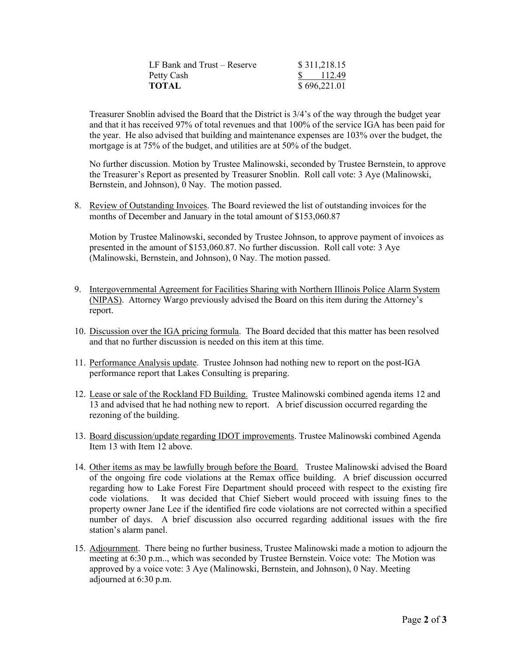| LF Bank and Trust – Reserve | \$311,218.15                     |
|-----------------------------|----------------------------------|
| Petty Cash                  | $\frac{\text{S}}{\text{112.49}}$ |
| <b>TOTAL</b>                | \$696,221.01                     |

Treasurer Snoblin advised the Board that the District is 3/4's of the way through the budget year and that it has received 97% of total revenues and that 100% of the service IGA has been paid for the year. He also advised that building and maintenance expenses are 103% over the budget, the mortgage is at 75% of the budget, and utilities are at 50% of the budget.

No further discussion. Motion by Trustee Malinowski, seconded by Trustee Bernstein, to approve the Treasurer's Report as presented by Treasurer Snoblin. Roll call vote: 3 Aye (Malinowski, Bernstein, and Johnson), 0 Nay. The motion passed.

8. Review of Outstanding Invoices. The Board reviewed the list of outstanding invoices for the months of December and January in the total amount of \$153,060.87

Motion by Trustee Malinowski, seconded by Trustee Johnson, to approve payment of invoices as presented in the amount of \$153,060.87. No further discussion. Roll call vote: 3 Aye (Malinowski, Bernstein, and Johnson), 0 Nay. The motion passed.

- 9. Intergovernmental Agreement for Facilities Sharing with Northern Illinois Police Alarm System (NIPAS). Attorney Wargo previously advised the Board on this item during the Attorney's report.
- 10. Discussion over the IGA pricing formula. The Board decided that this matter has been resolved and that no further discussion is needed on this item at this time.
- 11. Performance Analysis update. Trustee Johnson had nothing new to report on the post-IGA performance report that Lakes Consulting is preparing.
- 12. Lease or sale of the Rockland FD Building. Trustee Malinowski combined agenda items 12 and 13 and advised that he had nothing new to report. A brief discussion occurred regarding the rezoning of the building.
- 13. Board discussion/update regarding IDOT improvements. Trustee Malinowski combined Agenda Item 13 with Item 12 above.
- 14. Other items as may be lawfully brough before the Board. Trustee Malinowski advised the Board of the ongoing fire code violations at the Remax office building. A brief discussion occurred regarding how to Lake Forest Fire Department should proceed with respect to the existing fire code violations. It was decided that Chief Siebert would proceed with issuing fines to the property owner Jane Lee if the identified fire code violations are not corrected within a specified number of days. A brief discussion also occurred regarding additional issues with the fire station's alarm panel.
- 15. Adjournment. There being no further business, Trustee Malinowski made a motion to adjourn the meeting at 6:30 p.m.., which was seconded by Trustee Bernstein. Voice vote: The Motion was approved by a voice vote: 3 Aye (Malinowski, Bernstein, and Johnson), 0 Nay. Meeting adjourned at 6:30 p.m.